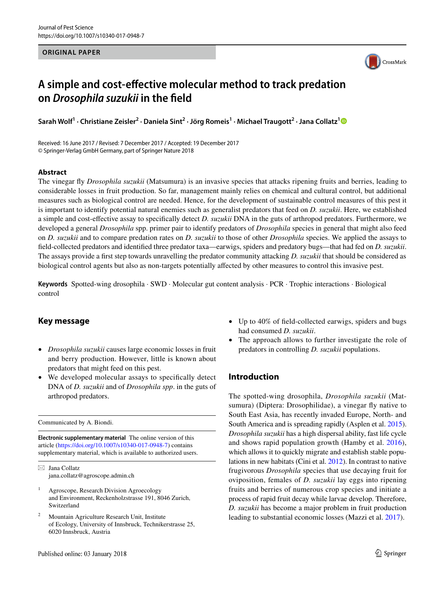#### **ORIGINAL PAPER**



# **A simple and cost‑efective molecular method to track predation on** *Drosophila suzukii* **in the feld**

Sarah Wolf<sup>[1](http://orcid.org/0000-0002-8412-3790)</sup> • Christiane Zeisler<sup>2</sup> • Daniela Sint<sup>2</sup> • Jörg Romeis<sup>1</sup> • Michael Traugott<sup>2</sup> • Jana Collatz<sup>1</sup>

Received: 16 June 2017 / Revised: 7 December 2017 / Accepted: 19 December 2017 © Springer-Verlag GmbH Germany, part of Springer Nature 2018

## **Abstract**

The vinegar fy *Drosophila suzukii* (Matsumura) is an invasive species that attacks ripening fruits and berries, leading to considerable losses in fruit production. So far, management mainly relies on chemical and cultural control, but additional measures such as biological control are needed. Hence, for the development of sustainable control measures of this pest it is important to identify potential natural enemies such as generalist predators that feed on *D. suzukii*. Here, we established a simple and cost-efective assay to specifcally detect *D. suzukii* DNA in the guts of arthropod predators. Furthermore, we developed a general *Drosophila* spp. primer pair to identify predators of *Drosophila* species in general that might also feed on *D. suzukii* and to compare predation rates on *D. suzukii* to those of other *Drosophila* species. We applied the assays to feld-collected predators and identifed three predator taxa—earwigs, spiders and predatory bugs—that had fed on *D. suzukii*. The assays provide a frst step towards unravelling the predator community attacking *D. suzukii* that should be considered as biological control agents but also as non-targets potentially afected by other measures to control this invasive pest.

**Keywords** Spotted-wing drosophila · SWD · Molecular gut content analysis · PCR · Trophic interactions · Biological control

# **Key message**

- *Drosophila suzukii* causes large economic losses in fruit and berry production. However, little is known about predators that might feed on this pest.
- We developed molecular assays to specifcally detect DNA of *D. suzukii* and of *Drosophila spp*. in the guts of arthropod predators.

Communicated by A. Biondi.

**Electronic supplementary material** The online version of this article [\(https://doi.org/10.1007/s10340-017-0948-7\)](https://doi.org/10.1007/s10340-017-0948-7) contains supplementary material, which is available to authorized users.

 $\boxtimes$  Jana Collatz jana.collatz@agroscope.admin.ch

- <sup>1</sup> Agroscope, Research Division Agroecology and Environment, Reckenholzstrasse 191, 8046 Zurich, Switzerland
- <sup>2</sup> Mountain Agriculture Research Unit, Institute of Ecology, University of Innsbruck, Technikerstrasse 25, 6020 Innsbruck, Austria
- Up to 40% of feld-collected earwigs, spiders and bugs had consumed *D. suzukii*.
- The approach allows to further investigate the role of predators in controlling *D. suzukii* populations.

# **Introduction**

The spotted-wing drosophila, *Drosophila suzukii* (Matsumura) (Diptera: Drosophilidae), a vinegar fly native to South East Asia, has recently invaded Europe, North- and South America and is spreading rapidly (Asplen et al. [2015](#page-7-0)). *Drosophila suzukii* has a high dispersal ability, fast life cycle and shows rapid population growth (Hamby et al. [2016](#page-7-1)), which allows it to quickly migrate and establish stable populations in new habitats (Cini et al. [2012\)](#page-7-2). In contrast to native frugivorous *Drosophila* species that use decaying fruit for oviposition, females of *D. suzukii* lay eggs into ripening fruits and berries of numerous crop species and initiate a process of rapid fruit decay while larvae develop. Therefore, *D. suzukii* has become a major problem in fruit production leading to substantial economic losses (Mazzi et al. [2017\)](#page-8-0).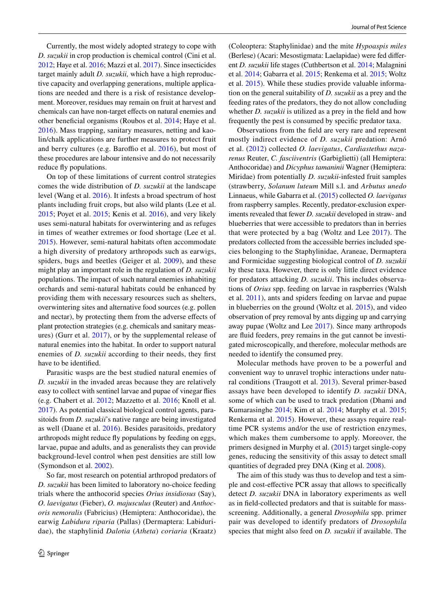Currently, the most widely adopted strategy to cope with *D. suzukii* in crop production is chemical control (Cini et al. [2012;](#page-7-2) Haye et al. [2016;](#page-7-3) Mazzi et al. [2017](#page-8-0)). Since insecticides target mainly adult *D. suzukii,* which have a high reproductive capacity and overlapping generations, multiple applications are needed and there is a risk of resistance development. Moreover, residues may remain on fruit at harvest and chemicals can have non-target efects on natural enemies and other benefcial organisms (Roubos et al. [2014](#page-8-1); Haye et al. [2016](#page-7-3)). Mass trapping, sanitary measures, netting and kaolin/chalk applications are further measures to protect fruit and berry cultures (e.g. Baroffio et al.  $2016$ ), but most of these procedures are labour intensive and do not necessarily reduce fy populations.

On top of these limitations of current control strategies comes the wide distribution of *D. suzukii* at the landscape level (Wang et al. [2016](#page-8-2)). It infests a broad spectrum of host plants including fruit crops, but also wild plants (Lee et al. [2015](#page-8-3); Poyet et al. [2015;](#page-8-4) Kenis et al. [2016\)](#page-7-5), and very likely uses semi-natural habitats for overwintering and as refuges in times of weather extremes or food shortage (Lee et al. [2015](#page-8-3)). However, semi-natural habitats often accommodate a high diversity of predatory arthropods such as earwigs, spiders, bugs and beetles (Geiger et al. [2009](#page-7-6)), and these might play an important role in the regulation of *D. suzukii* populations. The impact of such natural enemies inhabiting orchards and semi-natural habitats could be enhanced by providing them with necessary resources such as shelters, overwintering sites and alternative food sources (e.g. pollen and nectar), by protecting them from the adverse efects of plant protection strategies (e.g. chemicals and sanitary measures) (Gurr et al. [2017\)](#page-7-7), or by the supplemental release of natural enemies into the habitat. In order to support natural enemies of *D. suzukii* according to their needs, they frst have to be identifed.

Parasitic wasps are the best studied natural enemies of *D. suzukii* in the invaded areas because they are relatively easy to collect with sentinel larvae and pupae of vinegar fies (e.g. Chabert et al. [2012](#page-7-8); Mazzetto et al. [2016](#page-8-5); Knoll et al. [2017](#page-7-9)). As potential classical biological control agents, parasitoids from *D. suzukii*'s native range are being investigated as well (Daane et al. [2016\)](#page-7-10). Besides parasitoids, predatory arthropods might reduce fy populations by feeding on eggs, larvae, pupae and adults, and as generalists they can provide background-level control when pest densities are still low (Symondson et al. [2002\)](#page-8-6).

So far, most research on potential arthropod predators of *D. suzukii* has been limited to laboratory no-choice feeding trials where the anthocorid species *Orius insidiosus* (Say), *O. laevigatus* (Fieber), *O. majusculus* (Reuter) and *Anthocoris nemoralis* (Fabricius) (Hemiptera: Anthocoridae), the earwig *Labidura riparia* (Pallas) (Dermaptera: Labiduridae), the staphylinid *Dalotia* (*Atheta*) *coriaria* (Kraatz) (Coleoptera: Staphylinidae) and the mite *Hypoaspis miles* (Berlese) (Acari: Mesostigmata: Laelapidae) were fed diferent *D. suzukii* life stages (Cuthbertson et al. [2014;](#page-7-11) Malagnini et al. [2014;](#page-8-7) Gabarra et al. [2015;](#page-7-12) Renkema et al. [2015](#page-8-8); Woltz et al. [2015\)](#page-8-9). While these studies provide valuable information on the general suitability of *D. suzukii* as a prey and the feeding rates of the predators, they do not allow concluding whether *D. suzukii* is utilized as a prey in the field and how frequently the pest is consumed by specifc predator taxa.

Observations from the feld are very rare and represent mostly indirect evidence of *D. suzukii* predation: Arnó et al. ([2012\)](#page-7-13) collected *O. laevigatus*, *Cardiastethus nazarenus* Reuter, *C. fasciiventris* (Garbiglietti) (all Hemiptera: Anthocoridae) and *Dicyphus tamaninii* Wagner (Hemiptera: Miridae) from potentially *D. suzukii*-infested fruit samples (strawberry, *Solanum luteum* Mill s.l. and *Arbutus unedo* Linnaeus, while Gabarra et al. [\(2015](#page-7-12)) collected *O. laevigatus* from raspberry samples. Recently, predator-exclusion experiments revealed that fewer *D. suzukii* developed in straw- and blueberries that were accessible to predators than in berries that were protected by a bag (Woltz and Lee [2017\)](#page-8-10). The predators collected from the accessible berries included species belonging to the Staphylinidae, Araneae, Dermaptera and Formicidae suggesting biological control of *D. suzukii* by these taxa. However, there is only little direct evidence for predators attacking *D. suzukii*. This includes observations of *Orius* spp. feeding on larvae in raspberries (Walsh et al. [2011\)](#page-8-11), ants and spiders feeding on larvae and pupae in blueberries on the ground (Woltz et al. [2015](#page-8-9)), and video observation of prey removal by ants digging up and carrying away pupae (Woltz and Lee [2017\)](#page-8-10). Since many arthropods are fuid feeders, prey remains in the gut cannot be investigated microscopically, and therefore, molecular methods are needed to identify the consumed prey.

Molecular methods have proven to be a powerful and convenient way to unravel trophic interactions under natural conditions (Traugott et al. [2013](#page-8-12)). Several primer-based assays have been developed to identify *D. suzukii* DNA, some of which can be used to track predation (Dhami and Kumarasinghe [2014](#page-7-14); Kim et al. [2014](#page-7-15); Murphy et al. [2015](#page-8-13); Renkema et al. [2015\)](#page-8-8). However, these assays require realtime PCR systems and/or the use of restriction enzymes, which makes them cumbersome to apply. Moreover, the primers designed in Murphy et al. ([2015\)](#page-8-13) target single-copy genes, reducing the sensitivity of this assay to detect small quantities of degraded prey DNA (King et al. [2008\)](#page-7-16).

The aim of this study was thus to develop and test a simple and cost-efective PCR assay that allows to specifcally detect *D. suzukii* DNA in laboratory experiments as well as in feld-collected predators and that is suitable for massscreening. Additionally, a general *Drosophila* spp. primer pair was developed to identify predators of *Drosophila* species that might also feed on *D. suzukii* if available. The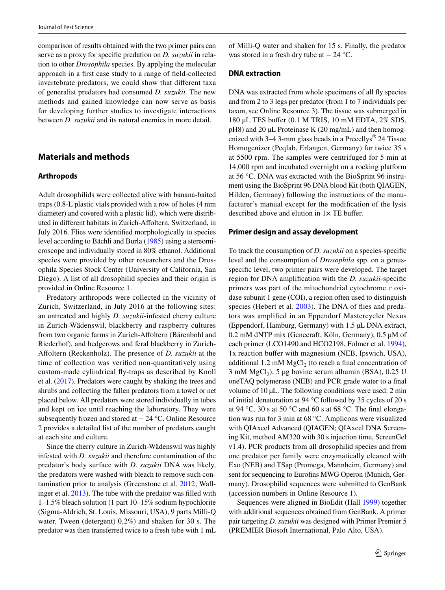comparison of results obtained with the two primer pairs can serve as a proxy for specifc predation on *D. suzukii* in relation to other *Drosophila* species. By applying the molecular approach in a frst case study to a range of feld-collected invertebrate predators, we could show that diferent taxa of generalist predators had consumed *D. suzukii.* The new methods and gained knowledge can now serve as basis for developing further studies to investigate interactions between *D. suzukii* and its natural enemies in more detail.

# **Materials and methods**

### **Arthropods**

Adult drosophilids were collected alive with banana-baited traps (0.8-L plastic vials provided with a row of holes (4 mm diameter) and covered with a plastic lid), which were distributed in diferent habitats in Zurich-Afoltern, Switzerland, in July 2016. Flies were identifed morphologically to species level according to Bächli and Burla ([1985\)](#page-7-17) using a stereomicroscope and individually stored in 80% ethanol. Additional species were provided by other researchers and the Drosophila Species Stock Center (University of California, San Diego). A list of all drosophilid species and their origin is provided in Online Resource 1.

Predatory arthropods were collected in the vicinity of Zurich, Switzerland, in July 2016 at the following sites: an untreated and highly *D. suzukii*-infested cherry culture in Zurich-Wädenswil, blackberry and raspberry cultures from two organic farms in Zurich-Afoltern (Bärenbohl and Riederhof), and hedgerows and feral blackberry in Zurich-Afoltern (Reckenholz). The presence of *D. suzukii* at the time of collection was verifed non-quantitatively using custom-made cylindrical fy-traps as described by Knoll et al. ([2017\)](#page-7-9). Predators were caught by shaking the trees and shrubs and collecting the fallen predators from a towel or net placed below. All predators were stored individually in tubes and kept on ice until reaching the laboratory. They were subsequently frozen and stored at − 24 °C. Online Resource 2 provides a detailed list of the number of predators caught at each site and culture.

Since the cherry culture in Zurich-Wädenswil was highly infested with *D. suzukii* and therefore contamination of the predator's body surface with *D. suzukii* DNA was likely, the predators were washed with bleach to remove such contamination prior to analysis (Greenstone et al. [2012](#page-7-18); Wallinger et al. [2013](#page-8-14)). The tube with the predator was flled with 1–1.5% bleach solution (1 part 10–15% sodium hypochlorite (Sigma-Aldrich, St. Louis, Missouri, USA), 9 parts Milli-Q water, Tween (detergent) 0,2%) and shaken for 30 s. The predator was then transferred twice to a fresh tube with 1 mL of Milli-Q water and shaken for 15 s. Finally, the predator was stored in a fresh dry tube at  $-24$  °C.

## **DNA extraction**

DNA was extracted from whole specimens of all fly species and from 2 to 3 legs per predator (from 1 to 7 individuals per taxon, see Online Resource 3). The tissue was submerged in 180 µL TES bufer (0.1 M TRIS, 10 mM EDTA, 2% SDS, pH8) and 20 µL Proteinase K (20 mg/mL) and then homogenized with  $3-4$  3-mm glass beads in a Precellys<sup>®</sup> 24 Tissue Homogenizer (Peqlab, Erlangen, Germany) for twice 35 s at 5500 rpm. The samples were centrifuged for 5 min at 14,000 rpm and incubated overnight on a rocking platform at 56 °C. DNA was extracted with the BioSprint 96 instrument using the BioSprint 96 DNA blood Kit (both QIAGEN, Hilden, Germany) following the instructions of the manufacturer's manual except for the modifcation of the lysis described above and elution in  $1 \times TE$  buffer.

## **Primer design and assay development**

To track the consumption of *D. suzukii* on a species-specifc level and the consumption of *Drosophila* spp. on a genusspecifc level, two primer pairs were developed. The target region for DNA amplifcation with the *D. suzukii*-specifc primers was part of the mitochondrial cytochrome *c* oxidase subunit 1 gene (COI), a region often used to distinguish species (Hebert et al. [2003\)](#page-7-19). The DNA of flies and predators was amplifed in an Eppendorf Mastercycler Nexus (Eppendorf, Hamburg, Germany) with 1.5 µL DNA extract, 0.2 mM dNTP mix (Genecraft, Köln, Germany), 0.5 µM of each primer (LCO1490 and HCO2198, Folmer et al. [1994](#page-7-20)), 1x reaction bufer with magnesium (NEB, Ipswich, USA), additional 1.2 mM  $MgCl<sub>2</sub>$  (to reach a final concentration of 3 mM  $MgCl<sub>2</sub>$ ), 5 µg bovine serum albumin (BSA), 0.25 U oneTAQ polymerase (NEB) and PCR grade water to a fnal volume of 10 µL. The following conditions were used: 2 min of initial denaturation at 94 °C followed by 35 cycles of 20 s at 94 °C, 30 s at 50 °C and 60 s at 68 °C. The fnal elongation was run for 3 min at 68 °C. Amplicons were visualized with QIAxcel Advanced (QIAGEN; QIAxcel DNA Screening Kit, method AM320 with 30 s injection time, ScreenGel v1.4). PCR products from all drosophilid species and from one predator per family were enzymatically cleaned with Exo (NEB) and TSap (Promega, Mannheim, Germany) and sent for sequencing to Eurofins MWG Operon (Munich, Germany). Drosophilid sequences were submitted to GenBank (accession numbers in Online Resource 1).

Sequences were aligned in BioEdit (Hall [1999](#page-7-21)) together with additional sequences obtained from GenBank. A primer pair targeting *D. suzukii* was designed with Primer Premier 5 (PREMIER Biosoft International, Palo Alto, USA).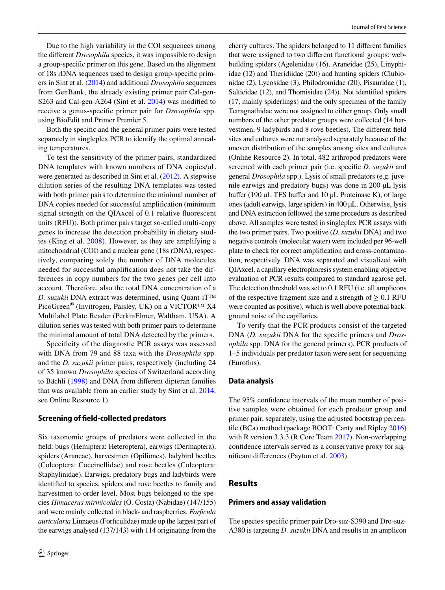Due to the high variability in the COI sequences among the diferent *Drosophila* species, it was impossible to design a group-specifc primer on this gene. Based on the alignment of 18s rDNA sequences used to design group-specifc primers in Sint et al. ([2014](#page-8-15)) and additional *Drosophila* sequences from GenBank, the already existing primer pair Cal-gen-S263 and Cal-gen-A264 (Sint et al. [2014\)](#page-8-15) was modified to receive a genus-specifc primer pair for *Drosophila* spp. using BioEdit and Primer Premier 5.

Both the specifc and the general primer pairs were tested separately in singleplex PCR to identify the optimal annealing temperatures.

To test the sensitivity of the primer pairs, standardized DNA templates with known numbers of DNA copies/ $\mu$ L were generated as described in Sint et al. [\(2012](#page-8-16)). A stepwise dilution series of the resulting DNA templates was tested with both primer pairs to determine the minimal number of DNA copies needed for successful amplifcation (minimum signal strength on the QIAxcel of 0.1 relative fuorescent units (RFU)). Both primer pairs target so-called multi-copy genes to increase the detection probability in dietary studies (King et al. [2008\)](#page-7-16). However, as they are amplifying a mitochondrial (COI) and a nuclear gene (18s rDNA), respectively, comparing solely the number of DNA molecules needed for successful amplifcation does not take the differences in copy numbers for the two genes per cell into account. Therefore, also the total DNA concentration of a *D. suzukii* DNA extract was determined, using Quant-iT™ PicoGreen<sup>®</sup> (Invitrogen, Paisley, UK) on a VICTOR<sup>™</sup> X4 Multilabel Plate Reader (PerkinElmer, Waltham, USA). A dilution series was tested with both primer pairs to determine the minimal amount of total DNA detected by the primers.

Specificity of the diagnostic PCR assays was assessed with DNA from 79 and 88 taxa with the *Drosophila* spp. and the *D. suzukii* primer pairs, respectively (including 24 of 35 known *Drosophila* species of Switzerland according to Bächli ([1998](#page-7-22)) and DNA from diferent dipteran families that was available from an earlier study by Sint et al. [2014,](#page-8-15) see Online Resource 1).

## **Screening of feld‑collected predators**

Six taxonomic groups of predators were collected in the feld: bugs (Hemiptera: Heteroptera), earwigs (Dermaptera), spiders (Araneae), harvestmen (Opiliones), ladybird beetles (Coleoptera: Coccinellidae) and rove beetles (Coleoptera: Staphylinidae). Earwigs, predatory bugs and ladybirds were identifed to species, spiders and rove beetles to family and harvestmen to order level. Most bugs belonged to the species *Himacerus mirmicoides* (O. Costa) (Nabidae) (147/155) and were mainly collected in black- and raspberries. *Forfcula auricularia* Linnaeus (Forfculidae) made up the largest part of the earwigs analysed (137/143) with 114 originating from the cherry cultures. The spiders belonged to 11 diferent families that were assigned to two diferent functional groups: webbuilding spiders (Agelenidae (16), Araneidae (25), Linyphiidae (12) and Theridiidae (20)) and hunting spiders (Clubionidae (2), Lycosidae (3), Philodromidae (20), Pisauridae (1), Salticidae (12), and Thomisidae (24)). Not identifed spiders (17, mainly spiderlings) and the only specimen of the family Tetragnathidae were not assigned to either group. Only small numbers of the other predator groups were collected (14 harvestmen, 9 ladybirds and 8 rove beetles). The diferent feld sites and cultures were not analysed separately because of the uneven distribution of the samples among sites and cultures (Online Resource 2). In total, 482 arthropod predators were screened with each primer pair (i.e. specifc *D. suzukii* and general *Drosophila* spp.). Lysis of small predators (e.g. juvenile earwigs and predatory bugs) was done in 200 µL lysis buffer (190  $\mu$ L TES buffer and 10  $\mu$ L Proteinase K), of large ones (adult earwigs, large spiders) in 400 µL. Otherwise, lysis and DNA extraction followed the same procedure as described above. All samples were tested in singleplex PCR assays with the two primer pairs. Two positive (*D. suzukii* DNA) and two negative controls (molecular water) were included per 96-well plate to check for correct amplifcation and cross-contamination, respectively. DNA was separated and visualized with QIAxcel, a capillary electrophoresis system enabling objective evaluation of PCR results compared to standard agarose gel. The detection threshold was set to 0.1 RFU (i.e. all amplicons of the respective fragment size and a strength of  $\geq 0.1$  RFU were counted as positive), which is well above potential background noise of the capillaries.

To verify that the PCR products consist of the targeted DNA (*D. suzukii* DNA for the specifc primers and *Drosophila* spp. DNA for the general primers), PCR products of 1–5 individuals per predator taxon were sent for sequencing (Eurofins).

#### **Data analysis**

The 95% confdence intervals of the mean number of positive samples were obtained for each predator group and primer pair, separately, using the adjusted bootstrap percentile (BCa) method (package BOOT: Canty and Ripley [2016\)](#page-7-23) with R version 3.3.3 (R Core Team [2017](#page-7-24)). Non-overlapping confdence intervals served as a conservative proxy for signifcant diferences (Payton et al. [2003](#page-8-17)).

## **Results**

## **Primers and assay validation**

The species-specifc primer pair Dro-suz-S390 and Dro-suz-A380 is targeting *D. suzukii* DNA and results in an amplicon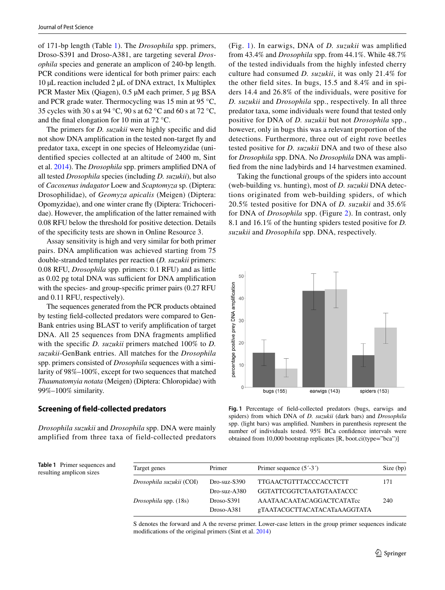of 171-bp length (Table [1\)](#page-4-0). The *Drosophila* spp. primers, Droso-S391 and Droso-A381, are targeting several *Drosophila* species and generate an amplicon of 240-bp length. PCR conditions were identical for both primer pairs: each 10 µL reaction included 2 µL of DNA extract, 1x Multiplex PCR Master Mix (Qiagen), 0.5 µM each primer, 5 µg BSA and PCR grade water. Thermocycling was 15 min at 95 °C, 35 cycles with 30 s at 94 °C, 90 s at 62 °C and 60 s at 72 °C, and the fnal elongation for 10 min at 72 °C.

The primers for *D. suzukii* were highly specifc and did not show DNA amplifcation in the tested non-target fy and predator taxa, except in one species of Heleomyzidae (unidentifed species collected at an altitude of 2400 m, Sint et al. [2014](#page-8-15)). The *Drosophila* spp. primers amplifed DNA of all tested *Drosophila* species (including *D. suzukii*), but also of *Cacoxenus indagator* Loew and *Scaptomyza* sp. (Diptera: Drosophilidae), of *Geomyza apicalis* (Meigen) (Diptera: Opomyzidae), and one winter crane fy (Diptera: Trichoceridae). However, the amplifcation of the latter remained with 0.08 RFU below the threshold for positive detection. Details of the specifcity tests are shown in Online Resource 3.

Assay sensitivity is high and very similar for both primer pairs. DNA amplifcation was achieved starting from 75 double-stranded templates per reaction (*D. suzukii* primers: 0.08 RFU, *Drosophila* spp. primers: 0.1 RFU) and as little as  $0.02$  pg total DNA was sufficient for DNA amplification with the species- and group-specifc primer pairs (0.27 RFU and 0.11 RFU, respectively).

The sequences generated from the PCR products obtained by testing feld-collected predators were compared to Gen-Bank entries using BLAST to verify amplifcation of target DNA. All 25 sequences from DNA fragments amplifed with the specifc *D. suzukii* primers matched 100% to *D. suzukii*-GenBank entries. All matches for the *Drosophila* spp. primers consisted of *Drosophila* sequences with a similarity of 98%–100%, except for two sequences that matched *Thaumatomyia notata* (Meigen) (Diptera: Chloropidae) with 99%–100% similarity.

#### **Screening of feld‑collected predators**

*Drosophila suzukii* and *Drosophila* spp. DNA were mainly amplified from three taxa of field-collected predators (Fig. [1\)](#page-4-1). In earwigs, DNA of *D. suzukii* was amplifed from 43.4% and *Drosophila* spp. from 44.1%. While 48.7% of the tested individuals from the highly infested cherry culture had consumed *D. suzukii*, it was only 21.4% for the other feld sites. In bugs, 15.5 and 8.4% and in spiders 14.4 and 26.8% of the individuals, were positive for *D. suzukii* and *Drosophila* spp., respectively. In all three predator taxa, some individuals were found that tested only positive for DNA of *D. suzukii* but not *Drosophila* spp., however, only in bugs this was a relevant proportion of the detections. Furthermore, three out of eight rove beetles tested positive for *D. suzukii* DNA and two of these also for *Drosophila* spp. DNA. No *Drosophila* DNA was amplifed from the nine ladybirds and 14 harvestmen examined.

Taking the functional groups of the spiders into account (web-building vs. hunting), most of *D. suzukii* DNA detections originated from web-building spiders, of which 20.5% tested positive for DNA of *D. suzukii* and 35.6% for DNA of *Drosophila* spp. (Figure [2\)](#page-5-0). In contrast, only 8.1 and 16.1% of the hunting spiders tested positive for *D. suzukii* and *Drosophila* spp. DNA, respectively.



<span id="page-4-1"></span>**Fig. 1** Percentage of feld-collected predators (bugs, earwigs and spiders) from which DNA of *D. suzukii* (dark bars) and *Drosophila* spp. (light bars) was amplifed. Numbers in parenthesis represent the number of individuals tested. 95% BCa confdence intervals were obtained from 10,000 bootstrap replicates [R, boot.ci(type="bca")]

<span id="page-4-0"></span>**Table 1** Primer sequences and resulting amplicon sizes

| Target genes             | Primer         | Primer sequence $(5^{\prime}$ -3 <sup><math>\prime</math></sup> ) | Size (bp) |
|--------------------------|----------------|-------------------------------------------------------------------|-----------|
| Drosophila suzukii (COI) | Dro-suz-S390   | <b>TTGAACTGTTTACCCACCTCTT</b>                                     | 171       |
|                          | $Dro-suz-A380$ | GGTATTCGGTCTAATGTAATACCC                                          |           |
| Drosophila spp. (18s)    | $Droso-S391$   | AAATAACAATACAGGACTCATATcc                                         | 240       |
|                          | $Droso-A381$   | gTAATACGCTTACATACATaAAGGTATA                                      |           |

S denotes the forward and A the reverse primer. Lower-case letters in the group primer sequences indicate modifcations of the original primers (Sint et al. [2014](#page-8-15))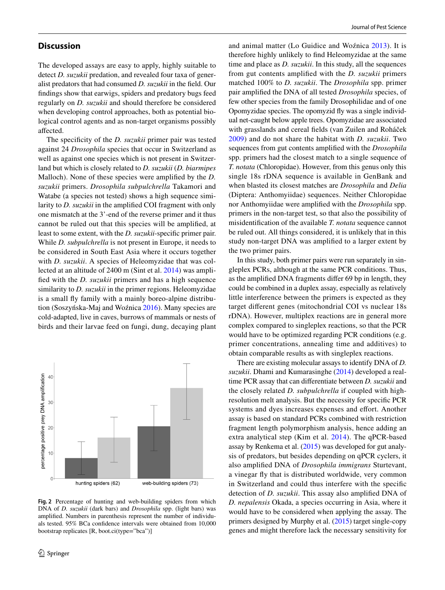# **Discussion**

The developed assays are easy to apply, highly suitable to detect *D. suzukii* predation, and revealed four taxa of generalist predators that had consumed *D. suzukii* in the feld. Our fndings show that earwigs, spiders and predatory bugs feed regularly on *D. suzukii* and should therefore be considered when developing control approaches, both as potential biological control agents and as non-target organisms possibly afected.

The specifcity of the *D. suzukii* primer pair was tested against 24 *Drosophila* species that occur in Switzerland as well as against one species which is not present in Switzerland but which is closely related to *D. suzukii* (*D. biarmipes* Malloch). None of these species were amplifed by the *D. suzukii* primers. *Drosophila subpulchrella* Takamori and Watabe (a species not tested) shows a high sequence similarity to *D. suzukii* in the amplifed COI fragment with only one mismatch at the 3'-end of the reverse primer and it thus cannot be ruled out that this species will be amplifed, at least to some extent, with the *D. suzukii*-specifc primer pair. While *D. subpulchrella* is not present in Europe, it needs to be considered in South East Asia where it occurs together with *D. suzukii*. A species of Heleomyzidae that was collected at an altitude of 2400 m (Sint et al. [2014](#page-8-15)) was amplifed with the *D. suzukii* primers and has a high sequence similarity to *D. suzukii* in the primer regions. Heleomyzidae is a small fy family with a mainly boreo-alpine distribution (Soszyńska-Maj and Woźnica [2016\)](#page-8-18). Many species are cold-adapted, live in caves, burrows of mammals or nests of birds and their larvae feed on fungi, dung, decaying plant



<span id="page-5-0"></span>**Fig. 2** Percentage of hunting and web-building spiders from which DNA of *D. suzukii* (dark bars) and *Drosophila* spp. (light bars) was amplifed. Numbers in parenthesis represent the number of individuals tested. 95% BCa confdence intervals were obtained from 10,000 bootstrap replicates [R, boot.ci(type="bca")]

and animal matter (Lo Guidice and Woźnica [2013](#page-8-19)). It is therefore highly unlikely to fnd Heleomyzidae at the same time and place as *D. suzukii*. In this study, all the sequences from gut contents amplifed with the *D. suzukii* primers matched 100% to *D. suzukii*. The *Drosophila* spp. primer pair amplifed the DNA of all tested *Drosophila* species, of few other species from the family Drosophilidae and of one Opomyzidae species. The opomyzid fy was a single individual net-caught below apple trees. Opomyzidae are associated with grasslands and cereal felds (van Zuilen and Roháček [2009\)](#page-8-20) and do not share the habitat with *D. suzukii*. Two sequences from gut contents amplifed with the *Drosophila* spp. primers had the closest match to a single sequence of *T. notata* (Chloropidae). However, from this genus only this single 18s rDNA sequence is available in GenBank and when blasted its closest matches are *Drosophila* and *Delia* (Diptera: Anthomyiidae) sequences. Neither Chloropidae nor Anthomyiidae were amplifed with the *Drosophila* spp. primers in the non-target test, so that also the possibility of misidentifcation of the available *T. notata* sequence cannot be ruled out. All things considered, it is unlikely that in this study non-target DNA was amplifed to a larger extent by the two primer pairs.

In this study, both primer pairs were run separately in singleplex PCRs, although at the same PCR conditions. Thus, as the amplifed DNA fragments difer 69 bp in length, they could be combined in a duplex assay, especially as relatively little interference between the primers is expected as they target diferent genes (mitochondrial COI vs nuclear 18s rDNA). However, multiplex reactions are in general more complex compared to singleplex reactions, so that the PCR would have to be optimized regarding PCR conditions (e.g. primer concentrations, annealing time and additives) to obtain comparable results as with singleplex reactions.

There are existing molecular assays to identify DNA of *D. suzukii*. Dhami and Kumarasinghe ([2014](#page-7-14)) developed a realtime PCR assay that can diferentiate between *D. suzukii* and the closely related *D. subpulchrella* if coupled with highresolution melt analysis. But the necessity for specifc PCR systems and dyes increases expenses and effort. Another assay is based on standard PCRs combined with restriction fragment length polymorphism analysis, hence adding an extra analytical step (Kim et al. [2014](#page-7-15)). The qPCR-based assay by Renkema et al. ([2015\)](#page-8-8) was developed for gut analysis of predators, but besides depending on qPCR cyclers, it also amplifed DNA of *Drosophila immigrans* Sturtevant, a vinegar fy that is distributed worldwide, very common in Switzerland and could thus interfere with the specifc detection of *D. suzukii*. This assay also amplifed DNA of *D. nepalensis* Okada, a species occurring in Asia, where it would have to be considered when applying the assay. The primers designed by Murphy et al. ([2015\)](#page-8-13) target single-copy genes and might therefore lack the necessary sensitivity for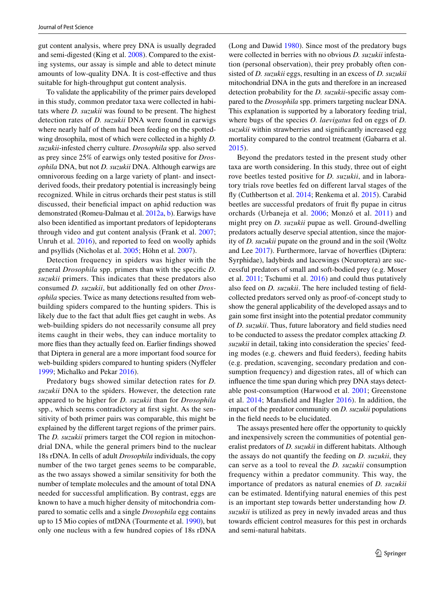gut content analysis, where prey DNA is usually degraded and semi-digested (King et al. [2008](#page-7-16)). Compared to the existing systems, our assay is simple and able to detect minute amounts of low-quality DNA. It is cost-efective and thus suitable for high-throughput gut content analysis.

To validate the applicability of the primer pairs developed in this study, common predator taxa were collected in habitats where *D. suzukii* was found to be present. The highest detection rates of *D. suzukii* DNA were found in earwigs where nearly half of them had been feeding on the spottedwing drosophila, most of which were collected in a highly *D. suzukii*-infested cherry culture. *Drosophila* spp. also served as prey since 25% of earwigs only tested positive for *Drosophila* DNA, but not *D. suzukii* DNA. Although earwigs are omnivorous feeding on a large variety of plant- and insectderived foods, their predatory potential is increasingly being recognized. While in citrus orchards their pest status is still discussed, their benefcial impact on aphid reduction was demonstrated (Romeu-Dalmau et al. [2012a,](#page-8-21) [b\)](#page-8-22). Earwigs have also been identifed as important predators of lepidopterans through video and gut content analysis (Frank et al. [2007](#page-7-25); Unruh et al. [2016\)](#page-8-23), and reported to feed on woolly aphids and psyllids (Nicholas et al. [2005;](#page-8-24) Höhn et al. [2007\)](#page-7-26).

Detection frequency in spiders was higher with the general *Drosophila* spp. primers than with the specifc *D. suzukii* primers. This indicates that these predators also consumed *D. suzukii*, but additionally fed on other *Drosophila* species. Twice as many detections resulted from webbuilding spiders compared to the hunting spiders. This is likely due to the fact that adult flies get caught in webs. As web-building spiders do not necessarily consume all prey items caught in their webs, they can induce mortality to more fies than they actually feed on. Earlier fndings showed that Diptera in general are a more important food source for web-building spiders compared to hunting spiders (Nyfeler [1999](#page-8-25); Michalko and Pekar [2016\)](#page-8-26).

Predatory bugs showed similar detection rates for *D. suzukii* DNA to the spiders. However, the detection rate appeared to be higher for *D. suzukii* than for *Drosophila* spp., which seems contradictory at frst sight. As the sensitivity of both primer pairs was comparable, this might be explained by the diferent target regions of the primer pairs. The *D. suzukii* primers target the COI region in mitochondrial DNA, while the general primers bind to the nuclear 18s rDNA. In cells of adult *Drosophila* individuals, the copy number of the two target genes seems to be comparable, as the two assays showed a similar sensitivity for both the number of template molecules and the amount of total DNA needed for successful amplifcation. By contrast, eggs are known to have a much higher density of mitochondria compared to somatic cells and a single *Drosophila* egg contains up to 15 Mio copies of mtDNA (Tourmente et al. [1990](#page-8-27)), but only one nucleus with a few hundred copies of 18s rDNA

(Long and Dawid [1980\)](#page-8-28). Since most of the predatory bugs were collected in berries with no obvious *D. suzukii* infestation (personal observation), their prey probably often consisted of *D. suzukii* eggs, resulting in an excess of *D. suzukii* mitochondrial DNA in the guts and therefore in an increased detection probability for the *D. suzukii*-specifc assay compared to the *Drosophila* spp. primers targeting nuclear DNA. This explanation is supported by a laboratory feeding trial, where bugs of the species *O. laevigatus* fed on eggs of *D. suzukii* within strawberries and signifcantly increased egg mortality compared to the control treatment (Gabarra et al. [2015](#page-7-12)).

Beyond the predators tested in the present study other taxa are worth considering. In this study, three out of eight rove beetles tested positive for *D. suzukii*, and in laboratory trials rove beetles fed on diferent larval stages of the fy (Cuthbertson et al. [2014;](#page-7-11) Renkema et al. [2015](#page-8-8)). Carabid beetles are successful predators of fruit fy pupae in citrus orchards (Urbaneja et al. [2006](#page-8-29); Monzó et al. [2011](#page-8-30)) and might prey on *D. suzukii* pupae as well. Ground-dwelling predators actually deserve special attention, since the majority of *D. suzukii* pupate on the ground and in the soil (Woltz and Lee [2017\)](#page-8-10). Furthermore, larvae of hoverfies (Diptera: Syrphidae), ladybirds and lacewings (Neuroptera) are successful predators of small and soft-bodied prey (e.g. Moser et al. [2011](#page-8-31); Tschumi et al. [2016](#page-8-32)) and could thus putatively also feed on *D. suzukii*. The here included testing of feldcollected predators served only as proof-of-concept study to show the general applicability of the developed assays and to gain some frst insight into the potential predator community of *D. suzukii*. Thus, future laboratory and feld studies need to be conducted to assess the predator complex attacking *D. suzukii* in detail, taking into consideration the species' feeding modes (e.g. chewers and fuid feeders), feeding habits (e.g. predation, scavenging, secondary predation and consumption frequency) and digestion rates, all of which can infuence the time span during which prey DNA stays detectable post-consumption (Harwood et al. [2001;](#page-7-27) Greenstone et al. [2014;](#page-7-28) Mansfeld and Hagler [2016\)](#page-8-33). In addition, the impact of the predator community on *D. suzukii* populations in the feld needs to be elucidated.

The assays presented here offer the opportunity to quickly and inexpensively screen the communities of potential generalist predators of *D. suzukii* in diferent habitats. Although the assays do not quantify the feeding on *D. suzukii*, they can serve as a tool to reveal the *D. suzukii* consumption frequency within a predator community. This way, the importance of predators as natural enemies of *D. suzukii* can be estimated. Identifying natural enemies of this pest is an important step towards better understanding how *D. suzukii* is utilized as prey in newly invaded areas and thus towards efficient control measures for this pest in orchards and semi-natural habitats.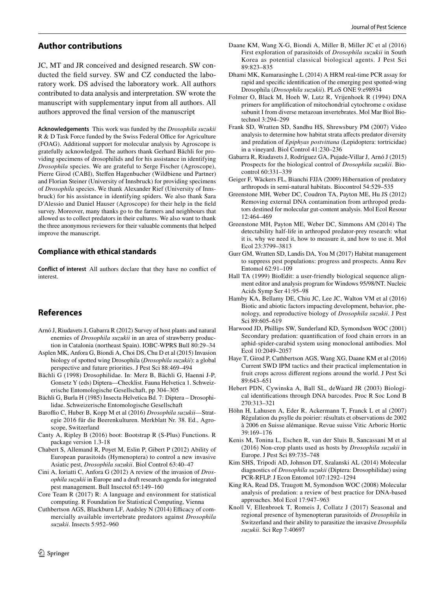## **Author contributions**

JC, MT and JR conceived and designed research. SW conducted the feld survey. SW and CZ conducted the laboratory work. DS advised the laboratory work. All authors contributed to data analysis and interpretation. SW wrote the manuscript with supplementary input from all authors. All authors approved the fnal version of the manuscript

**Acknowledgements** This work was funded by the *Drosophila suzukii* R & D Task Force funded by the Swiss Federal Office for Agriculture (FOAG). Additional support for molecular analysis by Agroscope is gratefully acknowledged. The authors thank Gerhard Bächli for providing specimens of drosophilids and for his assistance in identifying *Drosophila* species. We are grateful to Serge Fischer (Agroscope), Pierre Girod (CABI), Stefen Hagenbucher (Wildbiene und Partner) and Florian Steiner (University of Innsbruck) for providing specimens of *Drosophila* species. We thank Alexander Rief (University of Innsbruck) for his assistance in identifying spiders. We also thank Sara D'Alessio and Daniel Hauser (Agroscope) for their help in the feld survey. Moreover, many thanks go to the farmers and neighbours that allowed us to collect predators in their cultures. We also want to thank the three anonymous reviewers for their valuable comments that helped improve the manuscript.

### **Compliance with ethical standards**

**Conflict of interest** All authors declare that they have no confict of interest.

# **References**

- <span id="page-7-13"></span>Arnó J, Riudavets J, Gabarra R (2012) Survey of host plants and natural enemies of *Drosophila suzukii* in an area of strawberry production in Catalonia (northeast Spain). IOBC-WPRS Bull 80:29–34
- <span id="page-7-0"></span>Asplen MK, Anfora G, Biondi A, Choi DS, Chu D et al (2015) Invasion biology of spotted wing Drosophila (*Drosophila suzukii*): a global perspective and future priorities. J Pest Sci 88:469–494
- <span id="page-7-22"></span>Bächli G (1998) Drosophilidae. In: Merz B, Bächli G, Haenni J-P, Gonsetz Y (eds) Diptera—Checklist. Fauna Helvetica 1. Schweizerische Entomologische Gesellschaft, pp 304–305
- <span id="page-7-17"></span>Bächli G, Burla H (1985) Insecta Helvetica Bd. 7: Diptera – Drosophilidae. Schweizerische Entomologische Gesellschaft
- <span id="page-7-4"></span>Baroffio C, Huber B, Kopp M et al (2016) *Drosophila suzukii*—Strategie 2016 für die Beerenkulturen. Merkblatt Nr. 38. Ed., Agroscope, Switzerland
- <span id="page-7-23"></span>Canty A, Ripley B (2016) boot: Bootstrap R (S-Plus) Functions. R package version 1.3-18
- <span id="page-7-8"></span>Chabert S, Allemand R, Poyet M, Eslin P, Gibert P (2012) Ability of European parasitoids (Hymenoptera) to control a new invasive Asiatic pest, *Drosophila suzukii*. Biol Control 63:40–47
- <span id="page-7-2"></span>Cini A, Ioriatti C, Anfora G (2012) A review of the invasion of *Drosophila suzukii* in Europe and a draft research agenda for integrated pest management. Bull Insectol 65:149–160
- <span id="page-7-24"></span>Core Team R (2017) R: A language and environment for statistical computing. R Foundation for Statistical Computing, Vienna
- <span id="page-7-11"></span>Cuthbertson AGS, Blackburn LF, Audsley N (2014) Efficacy of commercially available invertebrate predators against *Drosophila suzukii*. Insects 5:952–960
- <span id="page-7-10"></span>Daane KM, Wang X-G, Biondi A, Miller B, Miller JC et al (2016) First exploration of parasitoids of *Drosophila suzukii* in South Korea as potential classical biological agents. J Pest Sci 89:823–835
- <span id="page-7-14"></span>Dhami MK, Kumarasinghe L (2014) A HRM real-time PCR assay for rapid and specifc identifcation of the emerging pest spotted-wing Drosophila (*Drosophila suzukii*). PLoS ONE 9:e98934
- <span id="page-7-20"></span>Folmer O, Black M, Hoeh W, Lutz R, Vrijenhoek R (1994) DNA primers for amplifcation of mitochondrial cytochrome c oxidase subunit I from diverse metazoan invertebrates. Mol Mar Biol Biotechnol 3:294–299
- <span id="page-7-25"></span>Frank SD, Wratten SD, Sandhu HS, Shrewsbury PM (2007) Video analysis to determine how habitat strata afects predator diversity and predation of *Epiphyas postvittana* (Lepidoptera: tortricidae) in a vineyard. Biol Control 41:230–236
- <span id="page-7-12"></span>Gabarra R, Riudavets J, Rodríguez GA, Pujade-Villar J, Arnó J (2015) Prospects for the biological control of *Drosophila suzukii*. Biocontrol 60:331–339
- <span id="page-7-6"></span>Geiger F, Wäckers FL, Bianchi FJJA (2009) Hibernation of predatory arthropods in semi-natural habitats. Biocontrol 54:529–535
- <span id="page-7-18"></span>Greenstone MH, Weber DC, Coudron TA, Payton ME, Hu JS (2012) Removing external DNA contamination from arthropod predators destined for molecular gut-content analysis. Mol Ecol Resour 12:464–469
- <span id="page-7-28"></span>Greenstone MH, Payton ME, Weber DC, Simmons AM (2014) The detectability half-life in arthropod predator-prey research: what it is, why we need it, how to measure it, and how to use it. Mol Ecol 23:3799–3813
- <span id="page-7-7"></span>Gurr GM, Wratten SD, Landis DA, You M (2017) Habitat management to suppress pest populations: progress and prospects. Annu Rev Entomol 62:91–109
- <span id="page-7-21"></span>Hall TA (1999) BioEdit: a user-friendly biological sequence alignment editor and analysis program for Windows 95/98/NT. Nucleic Acids Symp Ser 41:95–98
- <span id="page-7-1"></span>Hamby KA, Bellamy DE, Chiu JC, Lee JC, Walton VM et al (2016) Biotic and abiotic factors impacting development, behavior, phenology, and reproductive biology of *Drosophila suzukii*. J Pest Sci 89:605–619
- <span id="page-7-27"></span>Harwood JD, Phillips SW, Sunderland KD, Symondson WOC (2001) Secondary predation: quantifcation of food chain errors in an aphid-spider-carabid system using monoclonal antibodies. Mol Ecol 10:2049–2057
- <span id="page-7-3"></span>Haye T, Girod P, Cuthbertson AGS, Wang XG, Daane KM et al (2016) Current SWD IPM tactics and their practical implementation in fruit crops across diferent regions around the world. J Pest Sci 89:643–651
- <span id="page-7-19"></span>Hebert PDN, Cywinska A, Ball SL, deWaard JR (2003) Biological identifcations through DNA barcodes. Proc R Soc Lond B 270:313–321
- <span id="page-7-26"></span>Höhn H, Lahusen A, Eder R, Ackermann T, Franck L et al (2007) Régulation du psylle du poirier: résultats et observations de 2002 à 2006 en Suisse alémanique. Revue suisse Vitic Arboric Hortic 39:169–176
- <span id="page-7-5"></span>Kenis M, Tonina L, Eschen R, van der Sluis B, Sancassani M et al (2016) Non-crop plants used as hosts by *Drosophila suzukii* in Europe. J Pest Sci 89:735–748
- <span id="page-7-15"></span>Kim SHS, Tripodi AD, Johnson DT, Szalanski AL (2014) Molecular diagnostics of *Drosophila suzukii* (Diptera: Drosophilidae) using PCR-RFLP. J Econ Entomol 107:1292–1294
- <span id="page-7-16"></span>King RA, Read DS, Traugott M, Symondson WOC (2008) Molecular analysis of predation: a review of best practice for DNA-based approaches. Mol Ecol 17:947–963
- <span id="page-7-9"></span>Knoll V, Ellenbroek T, Romeis J, Collatz J (2017) Seasonal and regional presence of hymenopteran parasitoids of *Drosophila* in Switzerland and their ability to parasitize the invasive *Drosophila suzukii*. Sci Rep 7:40697